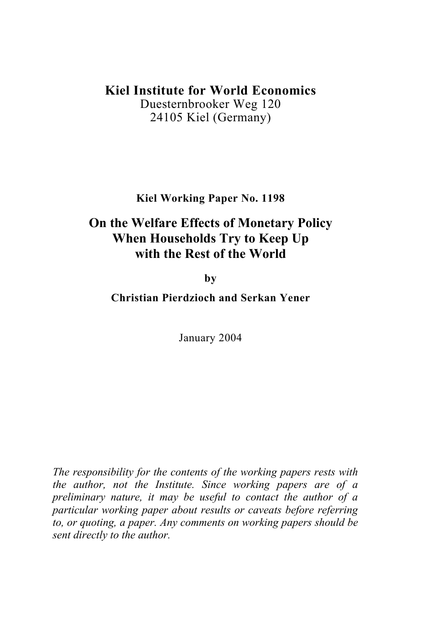## **Kiel Institute for World Economics**

Duesternbrooker Weg 120 24105 Kiel (Germany)

**Kiel Working Paper No. 1198** 

# **On the Welfare Effects of Monetary Policy When Households Try to Keep Up with the Rest of the World**

**by**

**Christian Pierdzioch and Serkan Yener** 

January 2004

*The responsibility for the contents of the working papers rests with the author, not the Institute. Since working papers are of a preliminary nature, it may be useful to contact the author of a particular working paper about results or caveats before referring to, or quoting, a paper. Any comments on working papers should be sent directly to the author.*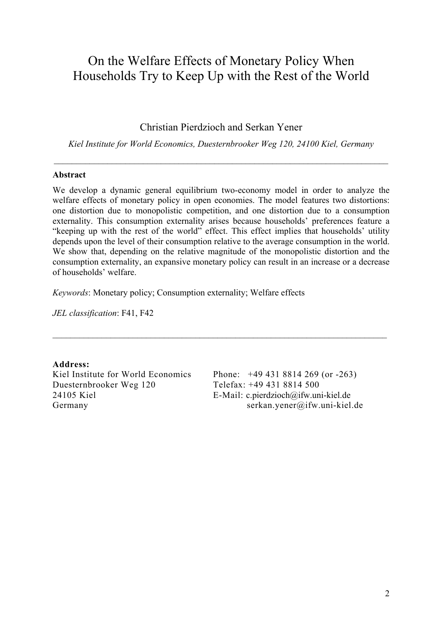# On the Welfare Effects of Monetary Policy When Households Try to Keep Up with the Rest of the World

Christian Pierdzioch and Serkan Yener

*Kiel Institute for World Economics, Duesternbrooker Weg 120, 24100 Kiel, Germany*

 $\_$  , and the contribution of the contribution of the contribution of the contribution of  $\mathcal{L}_\mathcal{A}$ 

#### **Abstract**

We develop a dynamic general equilibrium two-economy model in order to analyze the welfare effects of monetary policy in open economies. The model features two distortions: one distortion due to monopolistic competition, and one distortion due to a consumption externality. This consumption externality arises because households' preferences feature a "keeping up with the rest of the world" effect. This effect implies that households' utility depends upon the level of their consumption relative to the average consumption in the world. We show that, depending on the relative magnitude of the monopolistic distortion and the consumption externality, an expansive monetary policy can result in an increase or a decrease of households' welfare.

 $\_$  , and the set of the set of the set of the set of the set of the set of the set of the set of the set of the set of the set of the set of the set of the set of the set of the set of the set of the set of the set of th

*Keywords*: Monetary policy; Consumption externality; Welfare effects

*JEL classification*: F41, F42

**Address:**  Kiel Institute for World Economics Duesternbrooker Weg 120 24105 Kiel Germany

Phone: +49 431 8814 269 (or -263) Telefax: +49 431 8814 500 E-Mail: [c.pierdzioch@ifw.uni-kiel.de](mailto:c.pierdzioch@ifw.uni-kiel.de) serkan.yener@ifw.uni-kiel.de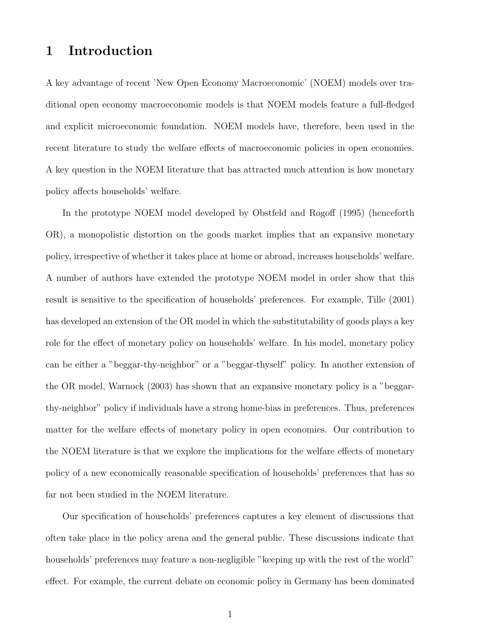### 1 Introduction

A key advantage of recent 'New Open Economy Macroeconomic' (NOEM) models over traditional open economy macroeconomic models is that NOEM models feature a full-fledged and explicit microeconomic foundation. NOEM models have, therefore, been used in the recent literature to study the welfare effects of macroeconomic policies in open economies. A key question in the NOEM literature that has attracted much attention is how monetary policy affects households' welfare.

In the prototype NOEM model developed by Obstfeld and Rogoff (1995) (henceforth OR), a monopolistic distortion on the goods market implies that an expansive monetary policy, irrespective of whether it takes place at home or abroad, increases households' welfare. A number of authors have extended the prototype NOEM model in order show that this result is sensitive to the specification of households' preferences. For example, Tille (2001) has developed an extension of the OR model in which the substitutability of goods plays a key role for the effect of monetary policy on households' welfare. In his model, monetary policy can be either a "beggar-thy-neighbor" or a "beggar-thyself" policy. In another extension of the OR model, Warnock (2003) has shown that an expansive monetary policy is a "beggarthy-neighbor" policy if individuals have a strong home-bias in preferences. Thus, preferences matter for the welfare effects of monetary policy in open economies. Our contribution to the NOEM literature is that we explore the implications for the welfare effects of monetary policy of a new economically reasonable specification of households' preferences that has so far not been studied in the NOEM literature.

Our specification of households' preferences captures a key element of discussions that often take place in the policy arena and the general public. These discussions indicate that households' preferences may feature a non-negligible "keeping up with the rest of the world" effect. For example, the current debate on economic policy in Germany has been dominated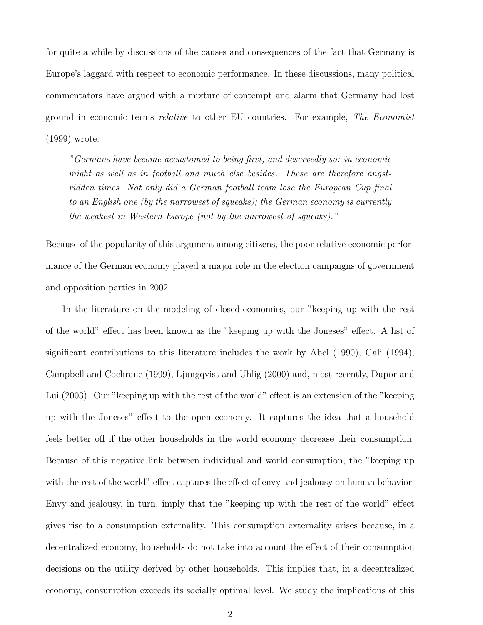for quite a while by discussions of the causes and consequences of the fact that Germany is Europe's laggard with respect to economic performance. In these discussions, many political commentators have argued with a mixture of contempt and alarm that Germany had lost ground in economic terms relative to other EU countries. For example, The Economist (1999) wrote:

"Germans have become accustomed to being first, and deservedly so: in economic might as well as in football and much else besides. These are therefore angstridden times. Not only did a German football team lose the European Cup final to an English one (by the narrowest of squeaks); the German economy is currently the weakest in Western Europe (not by the narrowest of squeaks)."

Because of the popularity of this argument among citizens, the poor relative economic performance of the German economy played a major role in the election campaigns of government and opposition parties in 2002.

In the literature on the modeling of closed-economies, our "keeping up with the rest of the world" effect has been known as the "keeping up with the Joneses" effect. A list of significant contributions to this literature includes the work by Abel (1990), Gali (1994), Campbell and Cochrane (1999), Ljungqvist and Uhlig (2000) and, most recently, Dupor and Lui (2003). Our "keeping up with the rest of the world" effect is an extension of the "keeping up with the Joneses" effect to the open economy. It captures the idea that a household feels better off if the other households in the world economy decrease their consumption. Because of this negative link between individual and world consumption, the "keeping up with the rest of the world" effect captures the effect of envy and jealousy on human behavior. Envy and jealousy, in turn, imply that the "keeping up with the rest of the world" effect gives rise to a consumption externality. This consumption externality arises because, in a decentralized economy, households do not take into account the effect of their consumption decisions on the utility derived by other households. This implies that, in a decentralized economy, consumption exceeds its socially optimal level. We study the implications of this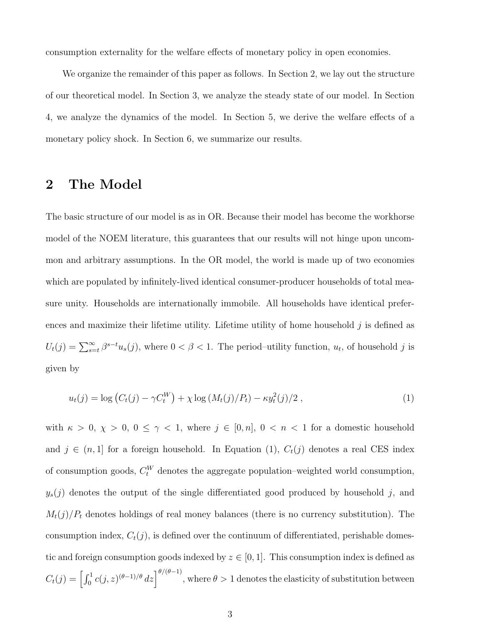consumption externality for the welfare effects of monetary policy in open economies.

We organize the remainder of this paper as follows. In Section 2, we lay out the structure of our theoretical model. In Section 3, we analyze the steady state of our model. In Section 4, we analyze the dynamics of the model. In Section 5, we derive the welfare effects of a monetary policy shock. In Section 6, we summarize our results.

#### 2 The Model

The basic structure of our model is as in OR. Because their model has become the workhorse model of the NOEM literature, this guarantees that our results will not hinge upon uncommon and arbitrary assumptions. In the OR model, the world is made up of two economies which are populated by infinitely-lived identical consumer-producer households of total measure unity. Households are internationally immobile. All households have identical preferences and maximize their lifetime utility. Lifetime utility of home household  $j$  is defined as  $U_t(j) = \sum_{s=t}^{\infty} \beta^{s-t} u_s(j)$ , where  $0 < \beta < 1$ . The period-utility function,  $u_t$ , of household j is given by

$$
u_t(j) = \log (C_t(j) - \gamma C_t^W) + \chi \log (M_t(j)/P_t) - \kappa y_t^2(j)/2 , \qquad (1)
$$

with  $\kappa > 0$ ,  $\chi > 0$ ,  $0 \le \gamma < 1$ , where  $j \in [0, n]$ ,  $0 < n < 1$  for a domestic household and  $j \in (n, 1]$  for a foreign household. In Equation (1),  $C_t(j)$  denotes a real CES index of consumption goods,  $C_t^W$  denotes the aggregate population–weighted world consumption,  $y_s(j)$  denotes the output of the single differentiated good produced by household j, and  $M_t(j)/P_t$  denotes holdings of real money balances (there is no currency substitution). The consumption index,  $C_t(j)$ , is defined over the continuum of differentiated, perishable domestic and foreign consumption goods indexed by  $z \in [0, 1]$ . This consumption index is defined as  $C_t(j) = \left[\int_0^1 c(j, z)^{(\theta-1)/\theta} dz\right]^{\theta/(\theta-1)}$ , where  $\theta > 1$  denotes the elasticity of substitution between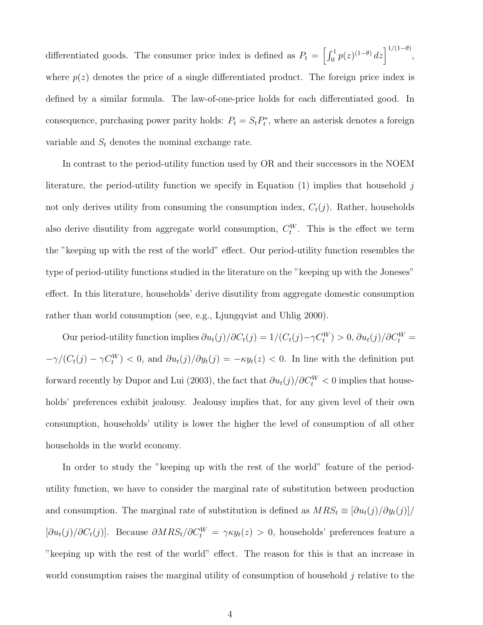differentiated goods. The consumer price index is defined as  $P_t = \left[\int_0^1 p(z)^{(1-\theta)} dz\right]^{1/(1-\theta)}$ , where  $p(z)$  denotes the price of a single differentiated product. The foreign price index is defined by a similar formula. The law-of-one-price holds for each differentiated good. In consequence, purchasing power parity holds:  $P_t = S_t P_t^*$ , where an asterisk denotes a foreign variable and  $S_t$  denotes the nominal exchange rate.

In contrast to the period-utility function used by OR and their successors in the NOEM literature, the period-utility function we specify in Equation  $(1)$  implies that household j not only derives utility from consuming the consumption index,  $C_t(j)$ . Rather, households also derive disutility from aggregate world consumption,  $C_t^W$ . This is the effect we term the "keeping up with the rest of the world" effect. Our period-utility function resembles the type of period-utility functions studied in the literature on the "keeping up with the Joneses" effect. In this literature, households' derive disutility from aggregate domestic consumption rather than world consumption (see, e.g., Ljungqvist and Uhlig 2000).

Our period-utility function implies  $\partial u_t(j)/\partial C_t(j) = 1/(C_t(j) - \gamma C_t^W) > 0$ ,  $\partial u_t(j)/\partial C_t^W =$  $-\gamma/(C_t(j) - \gamma C_t^W) < 0$ , and  $\partial u_t(j)/\partial y_t(j) = -\kappa y_t(z) < 0$ . In line with the definition put forward recently by Dupor and Lui (2003), the fact that  $\partial u_t(j)/\partial C_t^W < 0$  implies that households' preferences exhibit jealousy. Jealousy implies that, for any given level of their own consumption, households' utility is lower the higher the level of consumption of all other households in the world economy.

In order to study the "keeping up with the rest of the world" feature of the periodutility function, we have to consider the marginal rate of substitution between production and consumption. The marginal rate of substitution is defined as  $MRS_t \equiv \left[\partial u_t(j)/\partial y_t(j)\right]$  $[\partial u_t(j)/\partial C_t(j)]$ . Because  $\partial MRS_t/\partial C_t^W = \gamma \kappa y_t(z) > 0$ , households' preferences feature a "keeping up with the rest of the world" effect. The reason for this is that an increase in world consumption raises the marginal utility of consumption of household  $j$  relative to the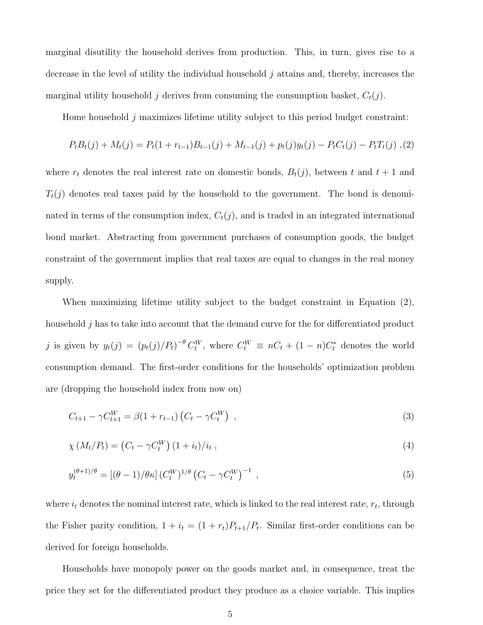marginal disutility the household derives from production. This, in turn, gives rise to a decrease in the level of utility the individual household j attains and, thereby, increases the marginal utility household j derives from consuming the consumption basket,  $C_t(j)$ .

Home household j maximizes lifetime utility subject to this period budget constraint:

$$
P_t B_t(j) + M_t(j) = P_t(1 + r_{t-1})B_{t-1}(j) + M_{t-1}(j) + p_t(j)y_t(j) - P_t C_t(j) - P_t T_t(j),
$$
 (2)

where  $r_t$  denotes the real interest rate on domestic bonds,  $B_t(j)$ , between t and  $t + 1$  and  $T_t(j)$  denotes real taxes paid by the household to the government. The bond is denominated in terms of the consumption index,  $C_t(j)$ , and is traded in an integrated international bond market. Abstracting from government purchases of consumption goods, the budget constraint of the government implies that real taxes are equal to changes in the real money supply.

When maximizing lifetime utility subject to the budget constraint in Equation (2), household j has to take into account that the demand curve for the for differentiated product j is given by  $y_t(j) = (p_t(j)/P_t)^{-\theta} C_t^W$ , where  $C_t^W \equiv nC_t + (1-n)C_t^*$  denotes the world consumption demand. The first-order conditions for the households' optimization problem are (dropping the household index from now on)

$$
C_{t+1} - \gamma C_{t+1}^W = \beta (1 + r_{t-1}) \left( C_t - \gamma C_t^W \right) , \qquad (3)
$$

$$
\chi(M_t/P_t) = (C_t - \gamma C_t^W) (1 + i_t)/i_t , \qquad (4)
$$

$$
y_t^{(\theta+1)/\theta} = [(\theta-1)/\theta \kappa] (C_t^W)^{1/\theta} (C_t - \gamma C_t^W)^{-1} , \qquad (5)
$$

where  $i_t$  denotes the nominal interest rate, which is linked to the real interest rate,  $r_t$ , through the Fisher parity condition,  $1 + i_t = (1 + r_t)P_{t+1}/P_t$ . Similar first-order conditions can be derived for foreign households.

Households have monopoly power on the goods market and, in consequence, treat the price they set for the differentiated product they produce as a choice variable. This implies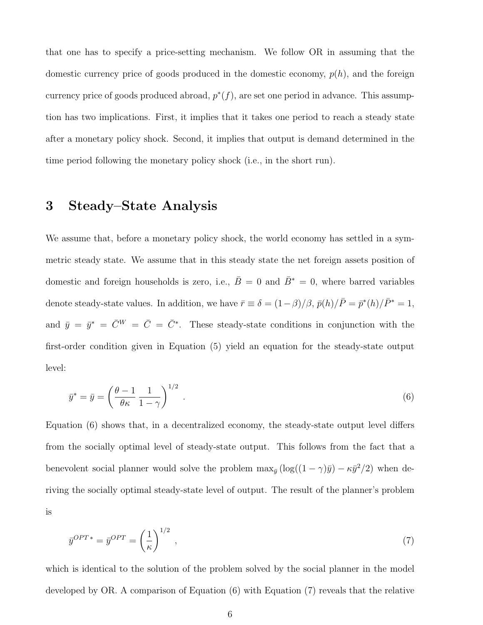that one has to specify a price-setting mechanism. We follow OR in assuming that the domestic currency price of goods produced in the domestic economy,  $p(h)$ , and the foreign currency price of goods produced abroad,  $p^*(f)$ , are set one period in advance. This assumption has two implications. First, it implies that it takes one period to reach a steady state after a monetary policy shock. Second, it implies that output is demand determined in the time period following the monetary policy shock (i.e., in the short run).

#### 3 Steady–State Analysis

We assume that, before a monetary policy shock, the world economy has settled in a symmetric steady state. We assume that in this steady state the net foreign assets position of domestic and foreign households is zero, i.e.,  $\overline{B}=0$  and  $\overline{B}^*=0$ , where barred variables denote steady-state values. In addition, we have  $\bar{r} \equiv \delta = (1-\beta)/\beta$ ,  $\bar{p}(h)/\bar{P} = \bar{p}^*(h)/\bar{P}^* = 1$ , and  $\bar{y} = \bar{y}^* = \bar{C}^W = \bar{C} = \bar{C}^*$ . These steady-state conditions in conjunction with the first-order condition given in Equation (5) yield an equation for the steady-state output level:

$$
\bar{y}^* = \bar{y} = \left(\frac{\theta - 1}{\theta \kappa} \frac{1}{1 - \gamma}\right)^{1/2} . \tag{6}
$$

Equation (6) shows that, in a decentralized economy, the steady-state output level differs from the socially optimal level of steady-state output. This follows from the fact that a benevolent social planner would solve the problem  $\max_{\bar{y}} (\log((1 - \gamma)\bar{y}) - \kappa \bar{y}^2/2)$  when deriving the socially optimal steady-state level of output. The result of the planner's problem is

$$
\bar{y}^{OPT*} = \bar{y}^{OPT} = \left(\frac{1}{\kappa}\right)^{1/2},\tag{7}
$$

which is identical to the solution of the problem solved by the social planner in the model developed by OR. A comparison of Equation (6) with Equation (7) reveals that the relative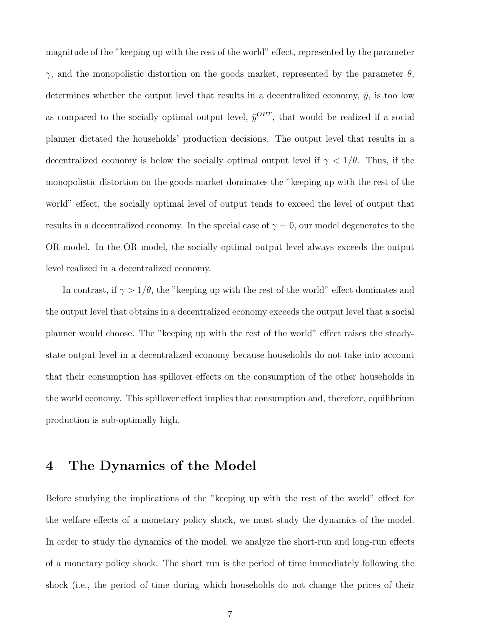magnitude of the "keeping up with the rest of the world" effect, represented by the parameter  $γ$ , and the monopolistic distortion on the goods market, represented by the parameter  $θ$ , determines whether the output level that results in a decentralized economy,  $\bar{y}$ , is too low as compared to the socially optimal output level,  $\bar{y}^{OPT}$ , that would be realized if a social planner dictated the households' production decisions. The output level that results in a decentralized economy is below the socially optimal output level if  $\gamma < 1/\theta$ . Thus, if the monopolistic distortion on the goods market dominates the "keeping up with the rest of the world" effect, the socially optimal level of output tends to exceed the level of output that results in a decentralized economy. In the special case of  $\gamma = 0$ , our model degenerates to the OR model. In the OR model, the socially optimal output level always exceeds the output level realized in a decentralized economy.

In contrast, if  $\gamma > 1/\theta$ , the "keeping up with the rest of the world" effect dominates and the output level that obtains in a decentralized economy exceeds the output level that a social planner would choose. The "keeping up with the rest of the world" effect raises the steadystate output level in a decentralized economy because households do not take into account that their consumption has spillover effects on the consumption of the other households in the world economy. This spillover effect implies that consumption and, therefore, equilibrium production is sub-optimally high.

#### 4 The Dynamics of the Model

Before studying the implications of the "keeping up with the rest of the world" effect for the welfare effects of a monetary policy shock, we must study the dynamics of the model. In order to study the dynamics of the model, we analyze the short-run and long-run effects of a monetary policy shock. The short run is the period of time immediately following the shock (i.e., the period of time during which households do not change the prices of their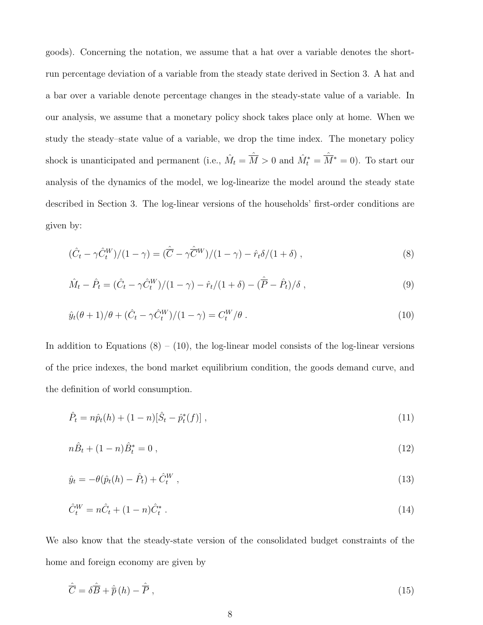goods). Concerning the notation, we assume that a hat over a variable denotes the shortrun percentage deviation of a variable from the steady state derived in Section 3. A hat and a bar over a variable denote percentage changes in the steady-state value of a variable. In our analysis, we assume that a monetary policy shock takes place only at home. When we study the steady–state value of a variable, we drop the time index. The monetary policy shock is unanticipated and permanent (i.e.,  $\hat{M}_t = \hat{M} > 0$  and  $\hat{M}_t^* = \hat{M}^* = 0$ ). To start our analysis of the dynamics of the model, we log-linearize the model around the steady state described in Section 3. The log-linear versions of the households' first-order conditions are given by:

$$
(\hat{C}_t - \gamma \hat{C}_t^W)/(1 - \gamma) = (\hat{\overline{C}} - \gamma \hat{\overline{C}}^W)/(1 - \gamma) - \hat{r}_t \delta/(1 + \delta) , \qquad (8)
$$

$$
\hat{M}_t - \hat{P}_t = (\hat{C}_t - \gamma \hat{C}_t^W)/(1 - \gamma) - \hat{r}_t/(1 + \delta) - (\hat{\overline{P}} - \hat{P}_t)/\delta, \qquad (9)
$$

$$
\hat{y}_t(\theta + 1)/\theta + (\hat{C}_t - \gamma \hat{C}_t^W)/(1 - \gamma) = C_t^W/\theta.
$$
\n(10)

In addition to Equations  $(8) - (10)$ , the log-linear model consists of the log-linear versions of the price indexes, the bond market equilibrium condition, the goods demand curve, and the definition of world consumption.

$$
\hat{P}_t = n\hat{p}_t(h) + (1 - n)[\hat{S}_t - \hat{p}_t^*(f)],
$$
\n(11)

$$
n\hat{B}_t + (1-n)\hat{B}_t^* = 0 \tag{12}
$$

$$
\hat{y}_t = -\theta(\hat{p}_t(h) - \hat{P}_t) + \hat{C}_t^W,
$$
\n(13)

$$
\hat{C}_t^W = n\hat{C}_t + (1-n)\hat{C}_t^* \tag{14}
$$

We also know that the steady-state version of the consolidated budget constraints of the home and foreign economy are given by

$$
\hat{\overline{C}} = \delta \hat{\overline{B}} + \hat{\overline{p}}(h) - \hat{\overline{P}}, \qquad (15)
$$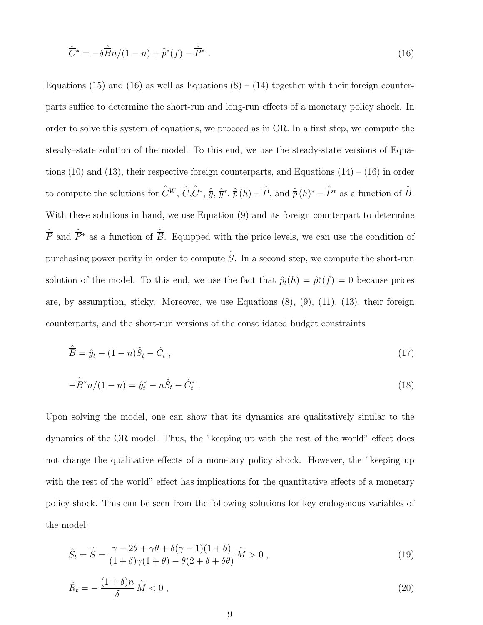$$
\hat{\overline{C}}^* = -\delta \hat{\overline{B}} n/(1-n) + \hat{\overline{p}}^*(f) - \hat{\overline{P}}^* \ . \tag{16}
$$

Equations (15) and (16) as well as Equations  $(8) - (14)$  together with their foreign counterparts suffice to determine the short-run and long-run effects of a monetary policy shock. In order to solve this system of equations, we proceed as in OR. In a first step, we compute the steady–state solution of the model. To this end, we use the steady-state versions of Equations (10) and (13), their respective foreign counterparts, and Equations  $(14) - (16)$  in order to compute the solutions for  $\hat{\overline{C}}^W$ ,  $\hat{\overline{C}}$ ,  $\hat{\overline{y}}$ ,  $\hat{\overline{y}}$ ,  $\hat{\overline{y}}$ ,  $\hat{\overline{p}}$  (h)  $-\hat{\overline{P}}$ , and  $\hat{\overline{p}}$  (h)<sup>\*</sup>  $-\hat{\overline{P}}^*$  as a function of  $\hat{\overline{B}}$ . With these solutions in hand, we use Equation (9) and its foreign counterpart to determine  $\hat{\overline{P}}$  and  $\hat{\overline{P}}^*$  as a function of  $\hat{\overline{B}}$ . Equipped with the price levels, we can use the condition of purchasing power parity in order to compute  $\hat{\overline{S}}$ . In a second step, we compute the short-run solution of the model. To this end, we use the fact that  $\hat{p}_t(h) = \hat{p}_t^*(f) = 0$  because prices are, by assumption, sticky. Moreover, we use Equations (8), (9), (11), (13), their foreign counterparts, and the short-run versions of the consolidated budget constraints

$$
\hat{\overline{B}} = \hat{y}_t - (1 - n)\hat{S}_t - \hat{C}_t , \qquad (17)
$$

$$
-\hat{\overline{B}}^*n/(1-n) = \hat{y}_t^* - n\hat{S}_t - \hat{C}_t^* \ . \tag{18}
$$

Upon solving the model, one can show that its dynamics are qualitatively similar to the dynamics of the OR model. Thus, the "keeping up with the rest of the world" effect does not change the qualitative effects of a monetary policy shock. However, the "keeping up with the rest of the world" effect has implications for the quantitative effects of a monetary policy shock. This can be seen from the following solutions for key endogenous variables of the model:

$$
\hat{S}_t = \hat{\overline{S}} = \frac{\gamma - 2\theta + \gamma\theta + \delta(\gamma - 1)(1 + \theta)}{(1 + \delta)\gamma(1 + \theta) - \theta(2 + \delta + \delta\theta)} \hat{\overline{M}} > 0,
$$
\n(19)

$$
\hat{R}_t = -\frac{(1+\delta)n}{\delta} \frac{\hat{\Lambda}}{M} < 0 \,, \tag{20}
$$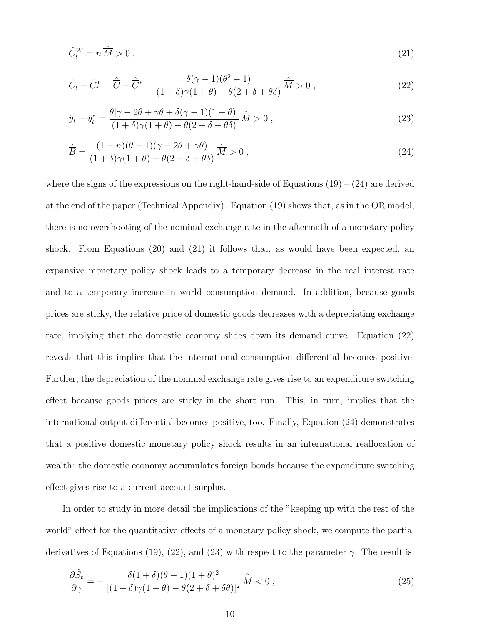$$
\hat{C}_t^W = n\,\hat{\overline{M}} > 0\,,\tag{21}
$$

$$
\hat{C}_t - \hat{C}_t^* = \hat{\overline{C}} - \hat{\overline{C}}^* = \frac{\delta(\gamma - 1)(\theta^2 - 1)}{(1 + \delta)\gamma(1 + \theta) - \theta(2 + \delta + \theta\delta)} \hat{\overline{M}} > 0 ,
$$
\n(22)

$$
\hat{y}_t - \hat{y}_t^* = \frac{\theta[\gamma - 2\theta + \gamma\theta + \delta(\gamma - 1)(1 + \theta)]}{(1 + \delta)\gamma(1 + \theta) - \theta(2 + \delta + \theta\delta)} \hat{M} > 0,
$$
\n(23)

$$
\hat{\overline{B}} = \frac{(1-n)(\theta-1)(\gamma-2\theta+\gamma\theta)}{(1+\delta)\gamma(1+\theta)-\theta(2+\delta+\theta\delta)}\hat{\overline{M}} > 0 ,
$$
\n(24)

where the signs of the expressions on the right-hand-side of Equations  $(19) - (24)$  are derived at the end of the paper (Technical Appendix). Equation (19) shows that, as in the OR model, there is no overshooting of the nominal exchange rate in the aftermath of a monetary policy shock. From Equations  $(20)$  and  $(21)$  it follows that, as would have been expected, an expansive monetary policy shock leads to a temporary decrease in the real interest rate and to a temporary increase in world consumption demand. In addition, because goods prices are sticky, the relative price of domestic goods decreases with a depreciating exchange rate, implying that the domestic economy slides down its demand curve. Equation (22) reveals that this implies that the international consumption differential becomes positive. Further, the depreciation of the nominal exchange rate gives rise to an expenditure switching effect because goods prices are sticky in the short run. This, in turn, implies that the international output differential becomes positive, too. Finally, Equation (24) demonstrates that a positive domestic monetary policy shock results in an international reallocation of wealth: the domestic economy accumulates foreign bonds because the expenditure switching effect gives rise to a current account surplus.

In order to study in more detail the implications of the "keeping up with the rest of the world" effect for the quantitative effects of a monetary policy shock, we compute the partial derivatives of Equations (19), (22), and (23) with respect to the parameter  $\gamma$ . The result is:

$$
\frac{\partial \hat{S}_t}{\partial \gamma} = -\frac{\delta (1+\delta)(\theta-1)(1+\theta)^2}{[(1+\delta)\gamma(1+\theta)-\theta(2+\delta+\delta\theta)]^2} \hat{M} < 0 \,, \tag{25}
$$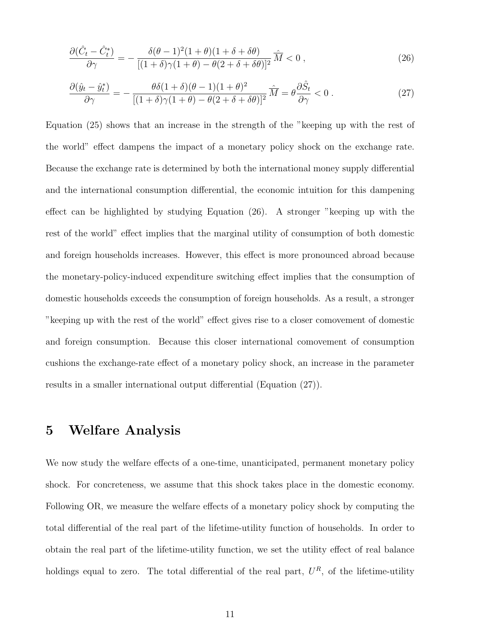$$
\frac{\partial(\hat{C}_t - \hat{C}_t^*)}{\partial \gamma} = -\frac{\delta(\theta - 1)^2 (1 + \theta)(1 + \delta + \delta\theta)}{[(1 + \delta)\gamma(1 + \theta) - \theta(2 + \delta + \delta\theta)]^2} \widehat{M} < 0 \,, \tag{26}
$$

$$
\frac{\partial(\hat{y}_t - \hat{y}_t^*)}{\partial \gamma} = -\frac{\theta \delta (1+\delta)(\theta-1)(1+\theta)^2}{[(1+\delta)\gamma(1+\theta) - \theta(2+\delta+\delta\theta)]^2} \hat{M} = \theta \frac{\partial \hat{S}_t}{\partial \gamma} < 0 \,. \tag{27}
$$

Equation (25) shows that an increase in the strength of the "keeping up with the rest of the world" effect dampens the impact of a monetary policy shock on the exchange rate. Because the exchange rate is determined by both the international money supply differential and the international consumption differential, the economic intuition for this dampening effect can be highlighted by studying Equation (26). A stronger "keeping up with the rest of the world" effect implies that the marginal utility of consumption of both domestic and foreign households increases. However, this effect is more pronounced abroad because the monetary-policy-induced expenditure switching effect implies that the consumption of domestic households exceeds the consumption of foreign households. As a result, a stronger "keeping up with the rest of the world" effect gives rise to a closer comovement of domestic and foreign consumption. Because this closer international comovement of consumption cushions the exchange-rate effect of a monetary policy shock, an increase in the parameter results in a smaller international output differential (Equation (27)).

#### 5 Welfare Analysis

We now study the welfare effects of a one-time, unanticipated, permanent monetary policy shock. For concreteness, we assume that this shock takes place in the domestic economy. Following OR, we measure the welfare effects of a monetary policy shock by computing the total differential of the real part of the lifetime-utility function of households. In order to obtain the real part of the lifetime-utility function, we set the utility effect of real balance holdings equal to zero. The total differential of the real part,  $U^R$ , of the lifetime-utility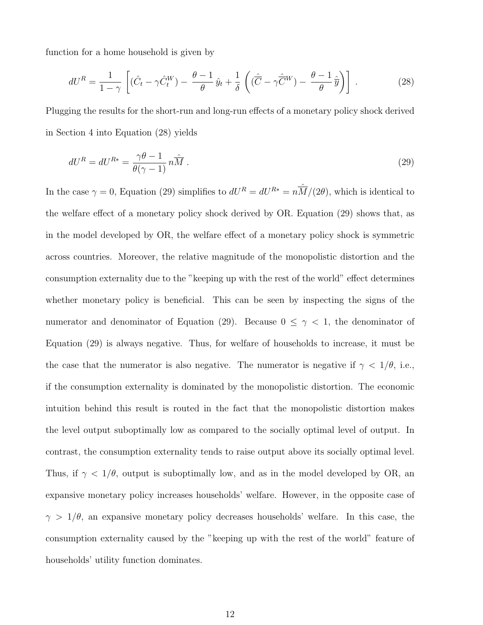function for a home household is given by

$$
dU^{R} = \frac{1}{1-\gamma} \left[ (\hat{C}_{t} - \gamma \hat{C}_{t}^{W}) - \frac{\theta-1}{\theta} \hat{y}_{t} + \frac{1}{\delta} \left( (\hat{\overline{C}} - \gamma \hat{\overline{C}}^{W}) - \frac{\theta-1}{\theta} \hat{\overline{y}} \right) \right].
$$
 (28)

Plugging the results for the short-run and long-run effects of a monetary policy shock derived in Section 4 into Equation (28) yields

$$
dU^{R} = dU^{R*} = \frac{\gamma \theta - 1}{\theta(\gamma - 1)} n \widehat{M} . \tag{29}
$$

In the case  $\gamma = 0$ , Equation (29) simplifies to  $dU^R = dU^{R*} = n \hat{M}/(2\theta)$ , which is identical to the welfare effect of a monetary policy shock derived by OR. Equation (29) shows that, as in the model developed by OR, the welfare effect of a monetary policy shock is symmetric across countries. Moreover, the relative magnitude of the monopolistic distortion and the consumption externality due to the "keeping up with the rest of the world" effect determines whether monetary policy is beneficial. This can be seen by inspecting the signs of the numerator and denominator of Equation (29). Because  $0 \leq \gamma \leq 1$ , the denominator of Equation (29) is always negative. Thus, for welfare of households to increase, it must be the case that the numerator is also negative. The numerator is negative if  $\gamma < 1/\theta$ , i.e., if the consumption externality is dominated by the monopolistic distortion. The economic intuition behind this result is routed in the fact that the monopolistic distortion makes the level output suboptimally low as compared to the socially optimal level of output. In contrast, the consumption externality tends to raise output above its socially optimal level. Thus, if  $\gamma < 1/\theta$ , output is suboptimally low, and as in the model developed by OR, an expansive monetary policy increases households' welfare. However, in the opposite case of  $\gamma > 1/\theta$ , an expansive monetary policy decreases households' welfare. In this case, the consumption externality caused by the "keeping up with the rest of the world" feature of households' utility function dominates.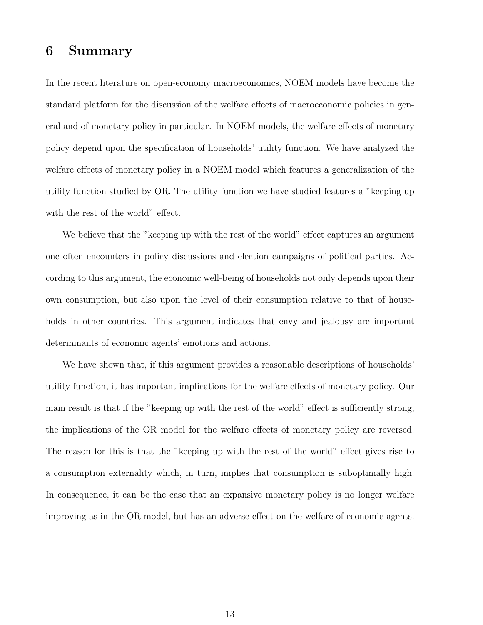#### 6 Summary

In the recent literature on open-economy macroeconomics, NOEM models have become the standard platform for the discussion of the welfare effects of macroeconomic policies in general and of monetary policy in particular. In NOEM models, the welfare effects of monetary policy depend upon the specification of households' utility function. We have analyzed the welfare effects of monetary policy in a NOEM model which features a generalization of the utility function studied by OR. The utility function we have studied features a "keeping up with the rest of the world" effect.

We believe that the "keeping up with the rest of the world" effect captures an argument one often encounters in policy discussions and election campaigns of political parties. According to this argument, the economic well-being of households not only depends upon their own consumption, but also upon the level of their consumption relative to that of households in other countries. This argument indicates that envy and jealousy are important determinants of economic agents' emotions and actions.

We have shown that, if this argument provides a reasonable descriptions of households' utility function, it has important implications for the welfare effects of monetary policy. Our main result is that if the "keeping up with the rest of the world" effect is sufficiently strong, the implications of the OR model for the welfare effects of monetary policy are reversed. The reason for this is that the "keeping up with the rest of the world" effect gives rise to a consumption externality which, in turn, implies that consumption is suboptimally high. In consequence, it can be the case that an expansive monetary policy is no longer welfare improving as in the OR model, but has an adverse effect on the welfare of economic agents.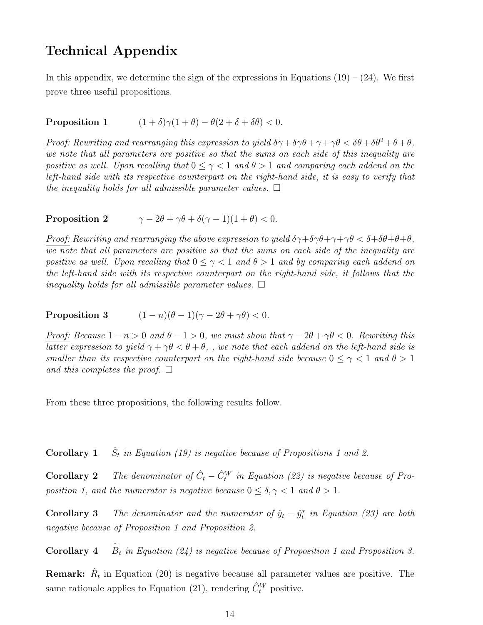### Technical Appendix

In this appendix, we determine the sign of the expressions in Equations  $(19) - (24)$ . We first prove three useful propositions.

**Proposition 1**  $(1 + \delta)\gamma(1 + \theta) - \theta(2 + \delta + \delta\theta) < 0.$ 

Proof: Rewriting and rearranging this expression to yield  $\delta \gamma + \delta \gamma \theta + \gamma + \gamma \theta < \delta \theta + \delta \theta^2 + \theta + \theta$ , we note that all parameters are positive so that the sums on each side of this inequality are positive as well. Upon recalling that  $0 \leq \gamma \leq 1$  and  $\theta > 1$  and comparing each addend on the left-hand side with its respective counterpart on the right-hand side, it is easy to verify that the inequality holds for all admissible parameter values.  $\Box$ 

**Proposition 2**  $\gamma - 2\theta + \gamma \theta + \delta(\gamma - 1)(1 + \theta) < 0.$ 

Proof: Rewriting and rearranging the above expression to yield  $\delta\gamma+\delta\gamma\theta+\gamma+\gamma\theta < \delta+\delta\theta+\theta+\theta$ . we note that all parameters are positive so that the sums on each side of the inequality are positive as well. Upon recalling that  $0 \leq \gamma < 1$  and  $\theta > 1$  and by comparing each addend on the left-hand side with its respective counterpart on the right-hand side, it follows that the inequality holds for all admissible parameter values.  $\Box$ 

Proposition 3  $(1 - n)(\theta - 1)(\gamma - 2\theta + \gamma\theta) < 0.$ 

Proof: Because  $1 - n > 0$  and  $\theta - 1 > 0$ , we must show that  $\gamma - 2\theta + \gamma \theta < 0$ . Rewriting this latter expression to yield  $\gamma + \gamma \theta < \theta + \theta$ , we note that each addend on the left-hand side is smaller than its respective counterpart on the right-hand side because  $0 \leq \gamma \leq 1$  and  $\theta > 1$ and this completes the proof.  $\Box$ 

From these three propositions, the following results follow.

Corollary 1  $\hat{S}_t$  in Equation (19) is negative because of Propositions 1 and 2.

**Corollary 2** The denominator of  $\hat{C}_t - \hat{C}_t^W$  in Equation (22) is negative because of Proposition 1, and the numerator is negative because  $0 \leq \delta, \gamma < 1$  and  $\theta > 1$ .

**Corollary 3** The denominator and the numerator of  $\hat{y}_t - \hat{y}_t^*$  in Equation (23) are both negative because of Proposition 1 and Proposition 2.

**Corollary 4**  $\hat{\overline{B}}_t$  in Equation (24) is negative because of Proposition 1 and Proposition 3.

**Remark:**  $\hat{R}_t$  in Equation (20) is negative because all parameter values are positive. The same rationale applies to Equation (21), rendering  $\hat{C}_{t}^{W}$  positive.